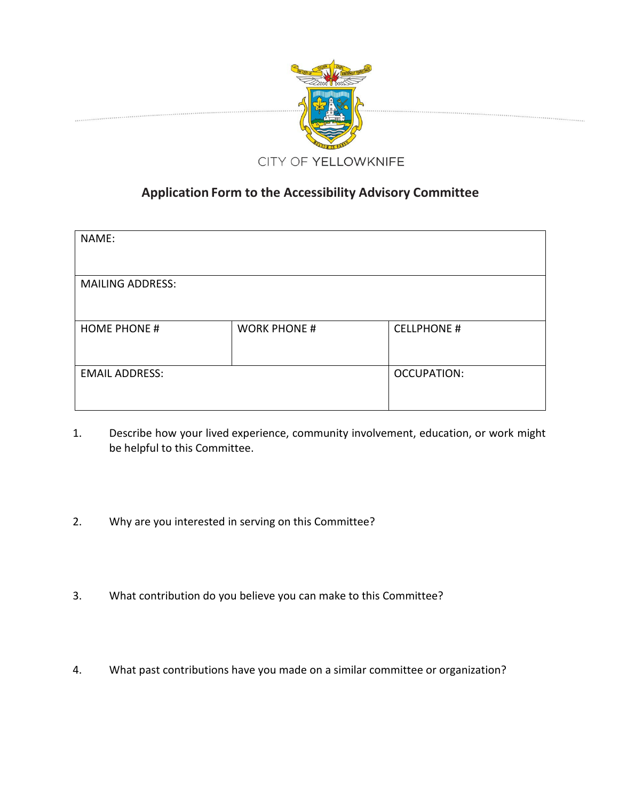

## **Application Form to the Accessibility Advisory Committee**

| NAME:                   |                     |                    |
|-------------------------|---------------------|--------------------|
| <b>MAILING ADDRESS:</b> |                     |                    |
| <b>HOME PHONE #</b>     | <b>WORK PHONE #</b> | <b>CELLPHONE #</b> |
| <b>EMAIL ADDRESS:</b>   |                     | <b>OCCUPATION:</b> |

- 1. Describe how your lived experience, community involvement, education, or work might be helpful to this Committee.
- 2. Why are you interested in serving on this Committee?
- 3. What contribution do you believe you can make to this Committee?
- 4. What past contributions have you made on a similar committee or organization?